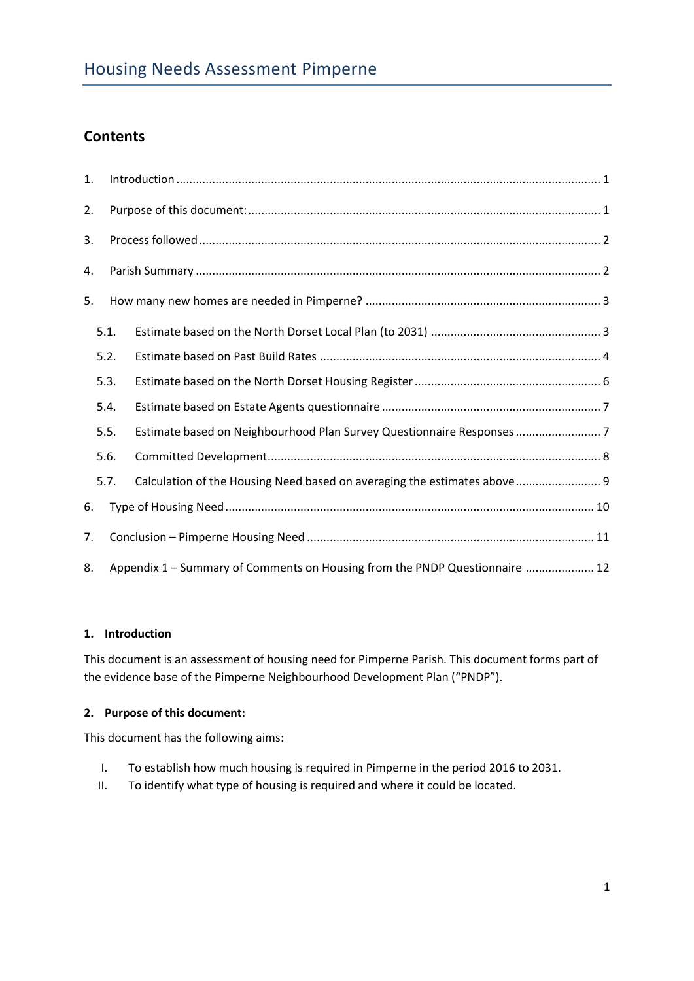# **Contents**

| 1. |      |                                                                             |  |  |  |  |  |  |
|----|------|-----------------------------------------------------------------------------|--|--|--|--|--|--|
| 2. |      |                                                                             |  |  |  |  |  |  |
| 3. |      |                                                                             |  |  |  |  |  |  |
| 4. |      |                                                                             |  |  |  |  |  |  |
| 5. |      |                                                                             |  |  |  |  |  |  |
|    | 5.1. |                                                                             |  |  |  |  |  |  |
|    | 5.2. |                                                                             |  |  |  |  |  |  |
|    | 5.3. |                                                                             |  |  |  |  |  |  |
|    | 5.4. |                                                                             |  |  |  |  |  |  |
|    | 5.5. | Estimate based on Neighbourhood Plan Survey Questionnaire Responses7        |  |  |  |  |  |  |
|    | 5.6. |                                                                             |  |  |  |  |  |  |
|    | 5.7. | Calculation of the Housing Need based on averaging the estimates above 9    |  |  |  |  |  |  |
| 6. |      |                                                                             |  |  |  |  |  |  |
| 7. |      |                                                                             |  |  |  |  |  |  |
| 8. |      | Appendix 1 - Summary of Comments on Housing from the PNDP Questionnaire  12 |  |  |  |  |  |  |

# <span id="page-0-0"></span>**1. Introduction**

This document is an assessment of housing need for Pimperne Parish. This document forms part of the evidence base of the Pimperne Neighbourhood Development Plan ("PNDP").

# <span id="page-0-1"></span>**2. Purpose of this document:**

This document has the following aims:

- I. To establish how much housing is required in Pimperne in the period 2016 to 2031.
- II. To identify what type of housing is required and where it could be located.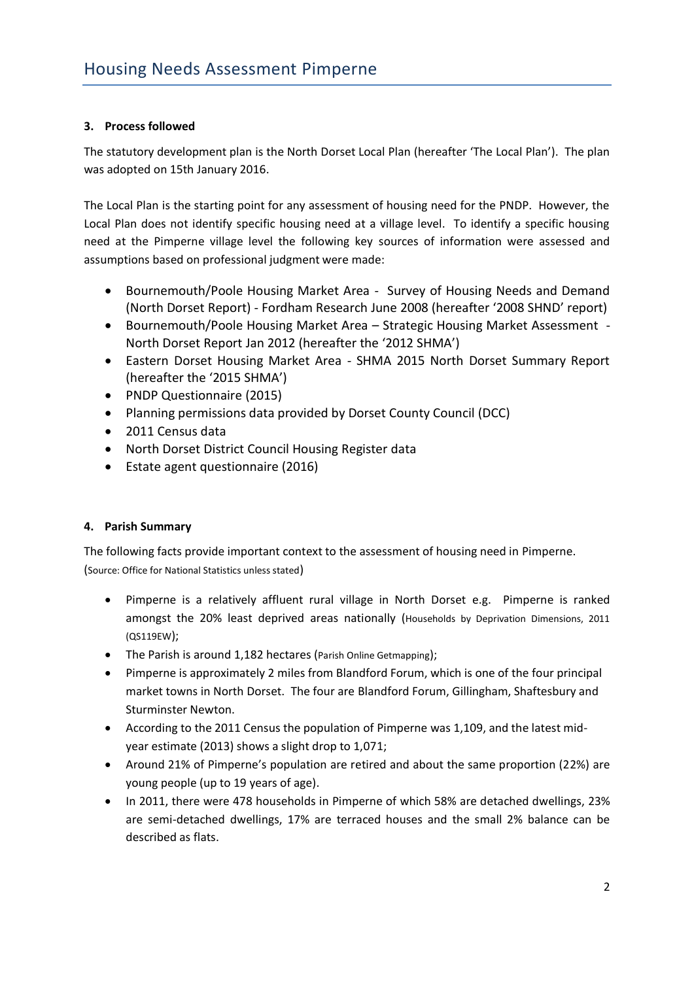# <span id="page-1-0"></span>**3. Process followed**

The statutory development plan is the North Dorset Local Plan (hereafter 'The Local Plan'). The plan was adopted on 15th January 2016.

The Local Plan is the starting point for any assessment of housing need for the PNDP. However, the Local Plan does not identify specific housing need at a village level. To identify a specific housing need at the Pimperne village level the following key sources of information were assessed and assumptions based on professional judgment were made:

- Bournemouth/Poole Housing Market Area Survey of Housing Needs and Demand (North Dorset Report) - Fordham Research June 2008 (hereafter '2008 SHND' report)
- Bournemouth/Poole Housing Market Area Strategic Housing Market Assessment North Dorset Report Jan 2012 (hereafter the '2012 SHMA')
- Eastern Dorset Housing Market Area SHMA 2015 North Dorset Summary Report (hereafter the '2015 SHMA')
- PNDP Questionnaire (2015)
- Planning permissions data provided by Dorset County Council (DCC)
- 2011 Census data
- North Dorset District Council Housing Register data
- Estate agent questionnaire (2016)

# <span id="page-1-1"></span>**4. Parish Summary**

The following facts provide important context to the assessment of housing need in Pimperne. (Source: Office for National Statistics unless stated)

- Pimperne is a relatively affluent rural village in North Dorset e.g. Pimperne is ranked amongst the 20% least deprived areas nationally (Households by Deprivation Dimensions, 2011 (QS119EW);
- The Parish is around 1,182 hectares (Parish Online Getmapping);
- Pimperne is approximately 2 miles from Blandford Forum, which is one of the four principal market towns in North Dorset. The four are Blandford Forum, Gillingham, Shaftesbury and Sturminster Newton.
- According to the 2011 Census the population of Pimperne was 1,109, and the latest midyear estimate (2013) shows a slight drop to 1,071;
- Around 21% of Pimperne's population are retired and about the same proportion (22%) are young people (up to 19 years of age).
- In 2011, there were 478 households in Pimperne of which 58% are detached dwellings, 23% are semi-detached dwellings, 17% are terraced houses and the small 2% balance can be described as flats.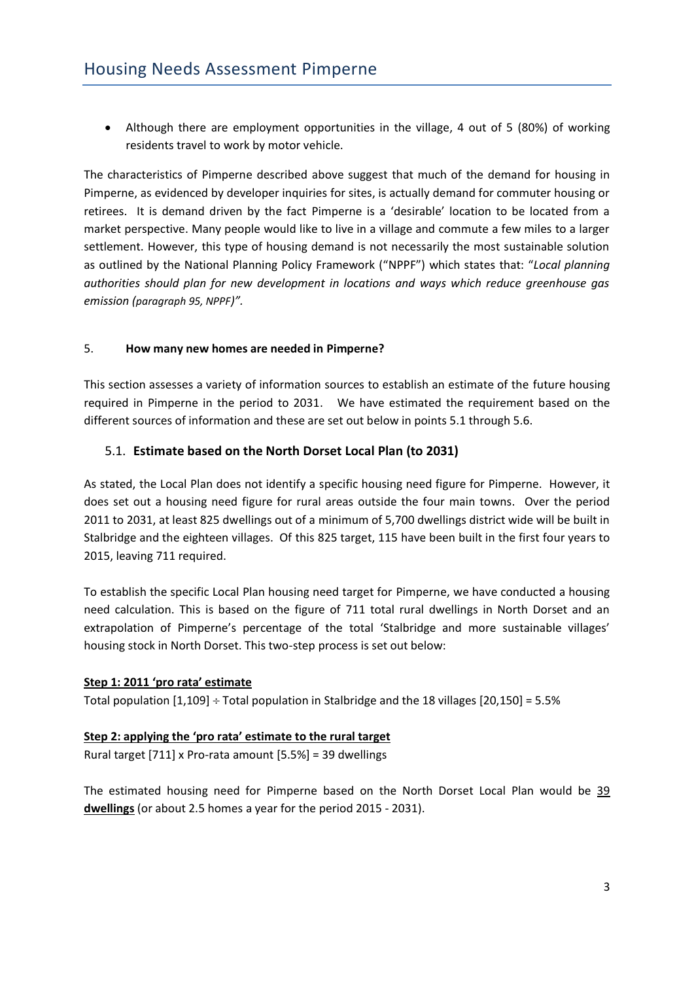• Although there are employment opportunities in the village, 4 out of 5 (80%) of working residents travel to work by motor vehicle.

The characteristics of Pimperne described above suggest that much of the demand for housing in Pimperne, as evidenced by developer inquiries for sites, is actually demand for commuter housing or retirees. It is demand driven by the fact Pimperne is a 'desirable' location to be located from a market perspective. Many people would like to live in a village and commute a few miles to a larger settlement. However, this type of housing demand is not necessarily the most sustainable solution as outlined by the National Planning Policy Framework ("NPPF") which states that: "*Local planning authorities should plan for new development in locations and ways which reduce greenhouse gas emission (paragraph 95, NPPF)".* 

# <span id="page-2-0"></span>5. **How many new homes are needed in Pimperne?**

This section assesses a variety of information sources to establish an estimate of the future housing required in Pimperne in the period to 2031. We have estimated the requirement based on the different sources of information and these are set out below in points 5.1 through 5.6.

# <span id="page-2-1"></span>5.1. **Estimate based on the North Dorset Local Plan (to 2031)**

As stated, the Local Plan does not identify a specific housing need figure for Pimperne. However, it does set out a housing need figure for rural areas outside the four main towns. Over the period 2011 to 2031, at least 825 dwellings out of a minimum of 5,700 dwellings district wide will be built in Stalbridge and the eighteen villages. Of this 825 target, 115 have been built in the first four years to 2015, leaving 711 required.

To establish the specific Local Plan housing need target for Pimperne, we have conducted a housing need calculation. This is based on the figure of 711 total rural dwellings in North Dorset and an extrapolation of Pimperne's percentage of the total 'Stalbridge and more sustainable villages' housing stock in North Dorset. This two-step process is set out below:

# **Step 1: 2011 'pro rata' estimate**

Total population  $[1,109]$  ÷ Total population in Stalbridge and the 18 villages  $[20,150]$  = 5.5%

# **Step 2: applying the 'pro rata' estimate to the rural target**

Rural target [711] x Pro-rata amount [5.5%] = 39 dwellings

The estimated housing need for Pimperne based on the North Dorset Local Plan would be 39 **dwellings** (or about 2.5 homes a year for the period 2015 - 2031).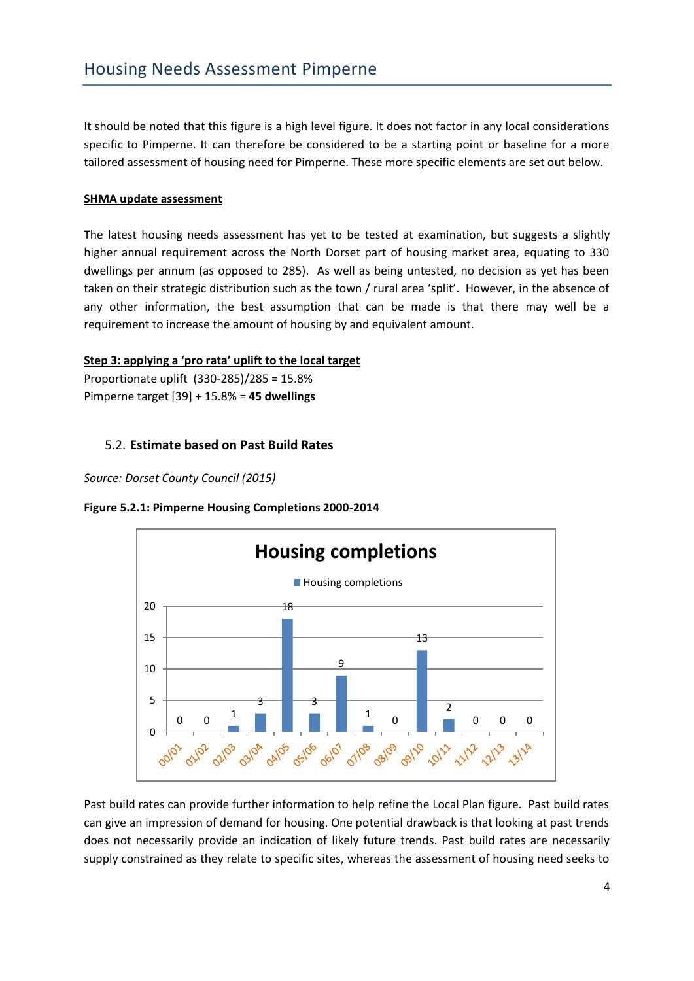It should be noted that this figure is a high level figure. It does not factor in any local considerations specific to Pimperne. It can therefore be considered to be a starting point or baseline for a more tailored assessment of housing need for Pimperne. These more specific elements are set out below.

# **SHMA update assessment**

The latest housing needs assessment has yet to be tested at examination, but suggests a slightly higher annual requirement across the North Dorset part of housing market area, equating to 330 dwellings per annum (as opposed to 285). As well as being untested, no decision as yet has been taken on their strategic distribution such as the town / rural area 'split'. However, in the absence of any other information, the best assumption that can be made is that there may well be a requirement to increase the amount of housing by and equivalent amount.

#### **Step 3: applying a 'pro rata' uplift to the local target**

Proportionate uplift (330-285)/285 = 15.8% Pimperne target [39] + 15.8% = **45 dwellings**

# <span id="page-3-0"></span>5.2. **Estimate based on Past Build Rates**

*Source: Dorset County Council (2015)*





Past build rates can provide further information to help refine the Local Plan figure. Past build rates can give an impression of demand for housing. One potential drawback is that looking at past trends does not necessarily provide an indication of likely future trends. Past build rates are necessarily supply constrained as they relate to specific sites, whereas the assessment of housing need seeks to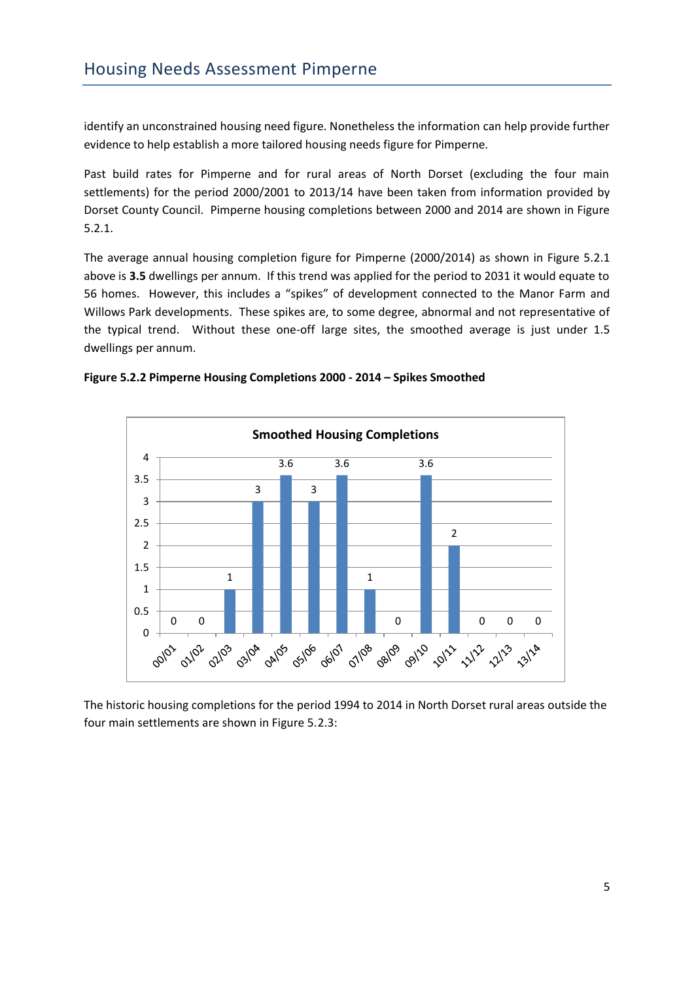identify an unconstrained housing need figure. Nonetheless the information can help provide further evidence to help establish a more tailored housing needs figure for Pimperne.

Past build rates for Pimperne and for rural areas of North Dorset (excluding the four main settlements) for the period 2000/2001 to 2013/14 have been taken from information provided by Dorset County Council. Pimperne housing completions between 2000 and 2014 are shown in Figure 5.2.1.

The average annual housing completion figure for Pimperne (2000/2014) as shown in Figure 5.2.1 above is **3.5** dwellings per annum. If this trend was applied for the period to 2031 it would equate to 56 homes. However, this includes a "spikes" of development connected to the Manor Farm and Willows Park developments. These spikes are, to some degree, abnormal and not representative of the typical trend. Without these one-off large sites, the smoothed average is just under 1.5 dwellings per annum.





The historic housing completions for the period 1994 to 2014 in North Dorset rural areas outside the four main settlements are shown in Figure 5.2.3: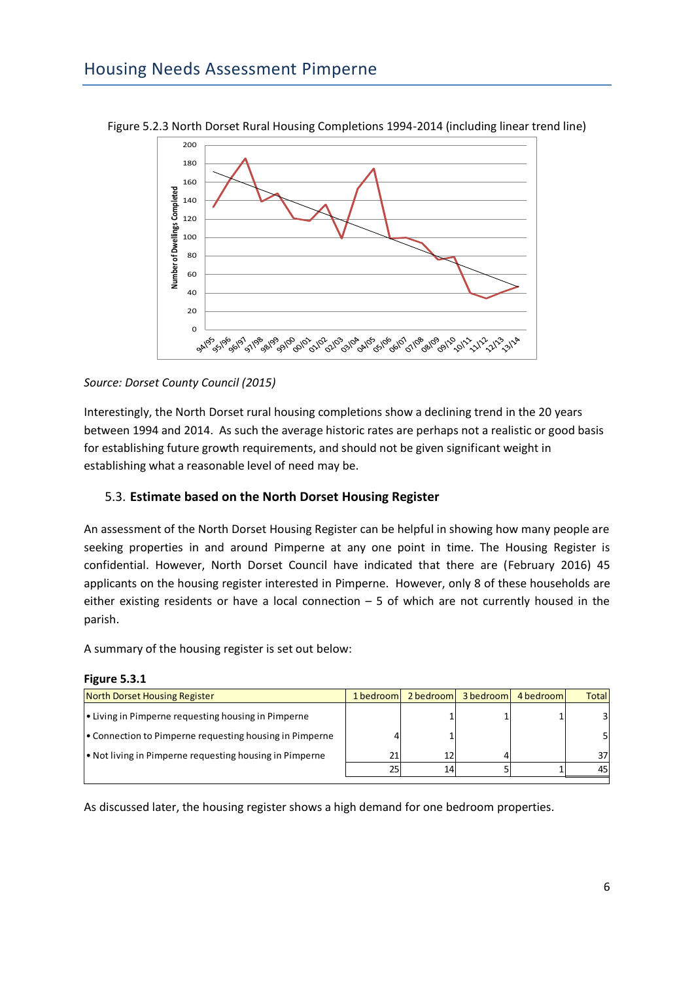

Figure 5.2.3 North Dorset Rural Housing Completions 1994-2014 (including linear trend line)

#### *Source: Dorset County Council (2015)*

Interestingly, the North Dorset rural housing completions show a declining trend in the 20 years between 1994 and 2014. As such the average historic rates are perhaps not a realistic or good basis for establishing future growth requirements, and should not be given significant weight in establishing what a reasonable level of need may be.

# <span id="page-5-0"></span>5.3. **Estimate based on the North Dorset Housing Register**

An assessment of the North Dorset Housing Register can be helpful in showing how many people are seeking properties in and around Pimperne at any one point in time. The Housing Register is confidential. However, North Dorset Council have indicated that there are (February 2016) 45 applicants on the housing register interested in Pimperne. However, only 8 of these households are either existing residents or have a local connection  $-5$  of which are not currently housed in the parish.

A summary of the housing register is set out below:

| North Dorset Housing Register                           | 1 bedroom | 2 bedroom | 3 bedroom | 4 bedroom | <b>Total</b> |
|---------------------------------------------------------|-----------|-----------|-----------|-----------|--------------|
| • Living in Pimperne requesting housing in Pimperne     |           |           |           |           | 31           |
| • Connection to Pimperne requesting housing in Pimperne |           |           |           |           |              |
| • Not living in Pimperne requesting housing in Pimperne | 21        |           |           |           | 37           |
|                                                         | 25        | 14        |           |           | 45           |
|                                                         |           |           |           |           |              |

#### **Figure 5.3.1**

As discussed later, the housing register shows a high demand for one bedroom properties.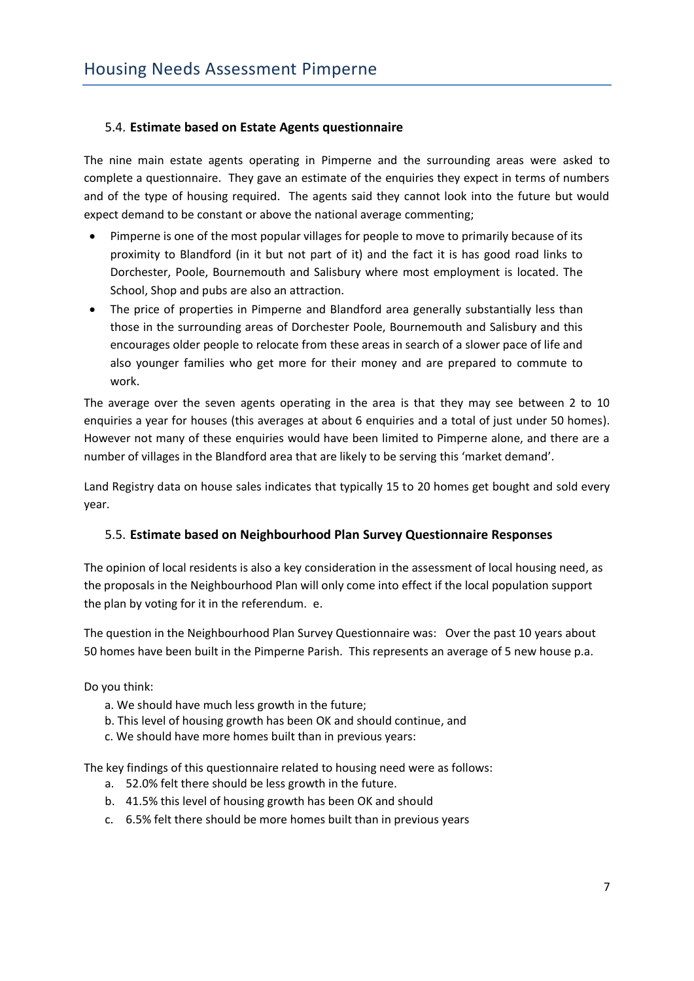# <span id="page-6-0"></span>5.4. **Estimate based on Estate Agents questionnaire**

The nine main estate agents operating in Pimperne and the surrounding areas were asked to complete a questionnaire. They gave an estimate of the enquiries they expect in terms of numbers and of the type of housing required. The agents said they cannot look into the future but would expect demand to be constant or above the national average commenting;

- Pimperne is one of the most popular villages for people to move to primarily because of its proximity to Blandford (in it but not part of it) and the fact it is has good road links to Dorchester, Poole, Bournemouth and Salisbury where most employment is located. The School, Shop and pubs are also an attraction.
- The price of properties in Pimperne and Blandford area generally substantially less than those in the surrounding areas of Dorchester Poole, Bournemouth and Salisbury and this encourages older people to relocate from these areas in search of a slower pace of life and also younger families who get more for their money and are prepared to commute to work.

The average over the seven agents operating in the area is that they may see between 2 to 10 enquiries a year for houses (this averages at about 6 enquiries and a total of just under 50 homes). However not many of these enquiries would have been limited to Pimperne alone, and there are a number of villages in the Blandford area that are likely to be serving this 'market demand'.

Land Registry data on house sales indicates that typically 15 to 20 homes get bought and sold every year.

# <span id="page-6-1"></span>5.5. **Estimate based on Neighbourhood Plan Survey Questionnaire Responses**

The opinion of local residents is also a key consideration in the assessment of local housing need, as the proposals in the Neighbourhood Plan will only come into effect if the local population support the plan by voting for it in the referendum. e.

The question in the Neighbourhood Plan Survey Questionnaire was: Over the past 10 years about 50 homes have been built in the Pimperne Parish. This represents an average of 5 new house p.a.

Do you think:

- a. We should have much less growth in the future;
- b. This level of housing growth has been OK and should continue, and
- c. We should have more homes built than in previous years:

The key findings of this questionnaire related to housing need were as follows:

- a. 52.0% felt there should be less growth in the future.
- b. 41.5% this level of housing growth has been OK and should
- c. 6.5% felt there should be more homes built than in previous years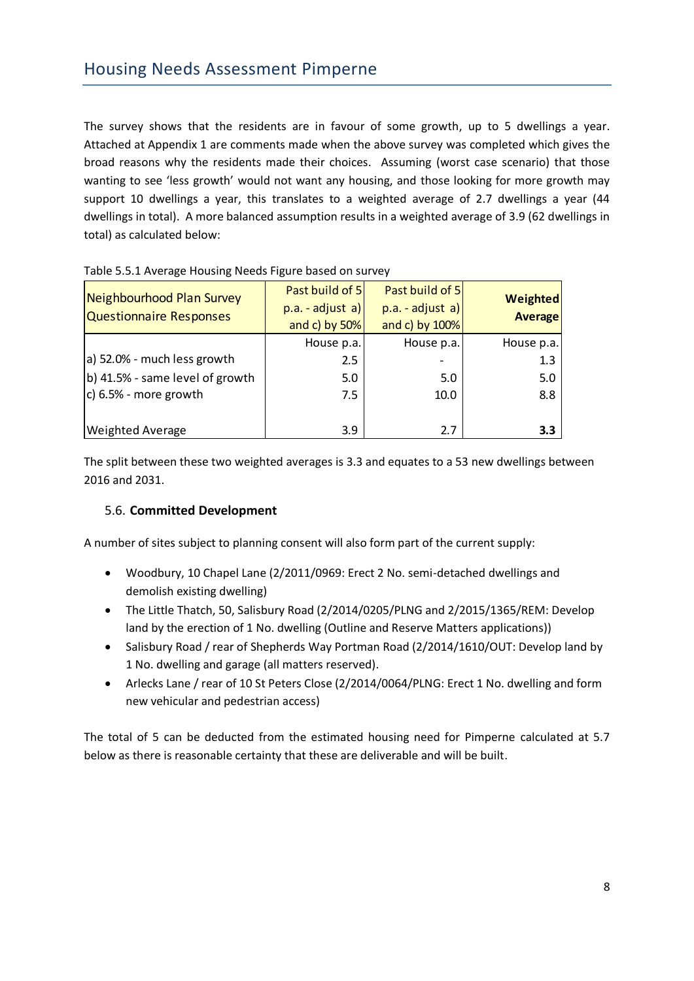The survey shows that the residents are in favour of some growth, up to 5 dwellings a year. Attached at Appendix 1 are comments made when the above survey was completed which gives the broad reasons why the residents made their choices. Assuming (worst case scenario) that those wanting to see 'less growth' would not want any housing, and those looking for more growth may support 10 dwellings a year, this translates to a weighted average of 2.7 dwellings a year (44 dwellings in total). A more balanced assumption results in a weighted average of 3.9 (62 dwellings in total) as calculated below:

| Neighbourhood Plan Survey       | Past build of 5   | Past build of 5  | Weighted       |
|---------------------------------|-------------------|------------------|----------------|
| <b>Questionnaire Responses</b>  | $p.a. - adjust a$ | p.a. - adjust a) | <b>Average</b> |
|                                 | and c) by $50\%$  | and c) by 100%   |                |
|                                 | House p.a.        | House p.a.       | House p.a.     |
| a) 52.0% - much less growth     | 2.5               |                  | 1.3            |
| b) 41.5% - same level of growth | 5.0               | 5.0              | 5.0            |
| c) 6.5% - more growth           | 7.5               | 10.0             | 8.8            |
|                                 |                   |                  |                |
| <b>Weighted Average</b>         | 3.9               | 2.7              | 3.3            |

#### Table 5.5.1 Average Housing Needs Figure based on survey

The split between these two weighted averages is 3.3 and equates to a 53 new dwellings between 2016 and 2031.

# <span id="page-7-0"></span>5.6. **Committed Development**

A number of sites subject to planning consent will also form part of the current supply:

- Woodbury, 10 Chapel Lane (2/2011/0969: Erect 2 No. semi-detached dwellings and demolish existing dwelling)
- The Little Thatch, 50, Salisbury Road (2/2014/0205/PLNG and 2/2015/1365/REM: Develop land by the erection of 1 No. dwelling (Outline and Reserve Matters applications))
- Salisbury Road / rear of Shepherds Way Portman Road (2/2014/1610/OUT: Develop land by 1 No. dwelling and garage (all matters reserved).
- Arlecks Lane / rear of 10 St Peters Close (2/2014/0064/PLNG: Erect 1 No. dwelling and form new vehicular and pedestrian access)

<span id="page-7-1"></span>The total of 5 can be deducted from the estimated housing need for Pimperne calculated at 5.7 below as there is reasonable certainty that these are deliverable and will be built.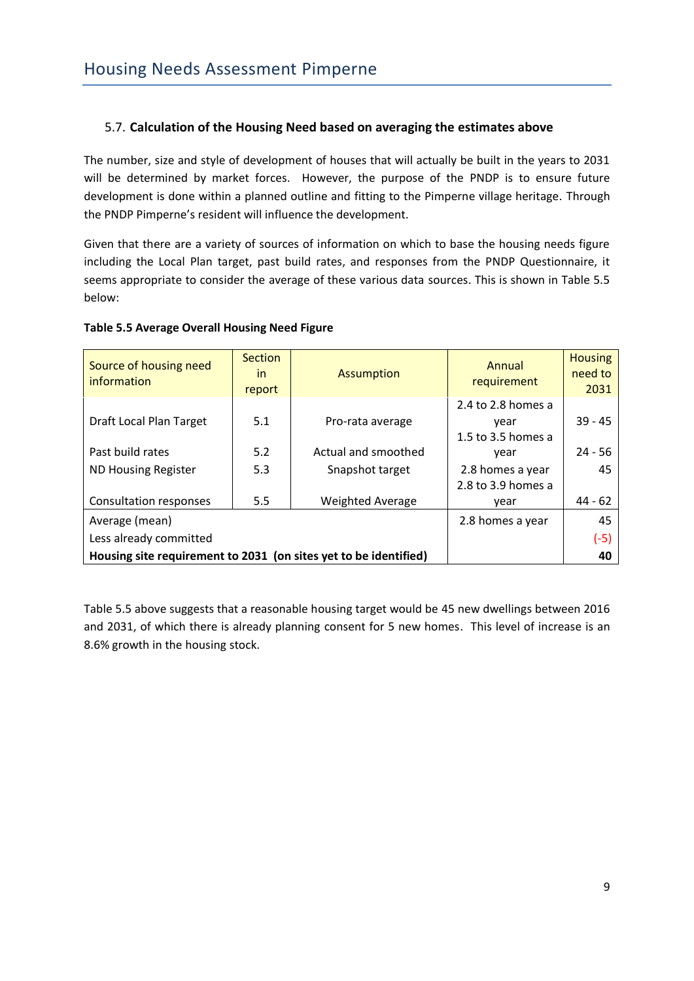# 5.7. **Calculation of the Housing Need based on averaging the estimates above**

The number, size and style of development of houses that will actually be built in the years to 2031 will be determined by market forces. However, the purpose of the PNDP is to ensure future development is done within a planned outline and fitting to the Pimperne village heritage. Through the PNDP Pimperne's resident will influence the development.

Given that there are a variety of sources of information on which to base the housing needs figure including the Local Plan target, past build rates, and responses from the PNDP Questionnaire, it seems appropriate to consider the average of these various data sources. This is shown in Table 5.5 below:

**Table 5.5 Average Overall Housing Need Figure**

| Source of housing need<br>information                            | <b>Section</b><br><i>in</i><br>report | <b>Assumption</b>       | Annual<br>requirement                            | <b>Housing</b><br>need to<br>2031 |  |  |
|------------------------------------------------------------------|---------------------------------------|-------------------------|--------------------------------------------------|-----------------------------------|--|--|
| Draft Local Plan Target                                          | 5.1                                   | Pro-rata average        | 2.4 to 2.8 homes a<br>year<br>1.5 to 3.5 homes a | $39 - 45$                         |  |  |
| Past build rates                                                 | 5.2                                   | Actual and smoothed     | vear                                             | $24 - 56$                         |  |  |
| <b>ND Housing Register</b>                                       | 5.3                                   | Snapshot target         | 2.8 homes a year<br>2.8 to 3.9 homes a           | 45                                |  |  |
| Consultation responses                                           | 5.5                                   | <b>Weighted Average</b> | year                                             | $44 - 62$                         |  |  |
| Average (mean)                                                   |                                       |                         | 2.8 homes a year                                 | 45                                |  |  |
| Less already committed                                           |                                       |                         |                                                  | $(-5)$                            |  |  |
| Housing site requirement to 2031 (on sites yet to be identified) |                                       |                         |                                                  |                                   |  |  |

Table 5.5 above suggests that a reasonable housing target would be 45 new dwellings between 2016 and 2031, of which there is already planning consent for 5 new homes. This level of increase is an 8.6% growth in the housing stock.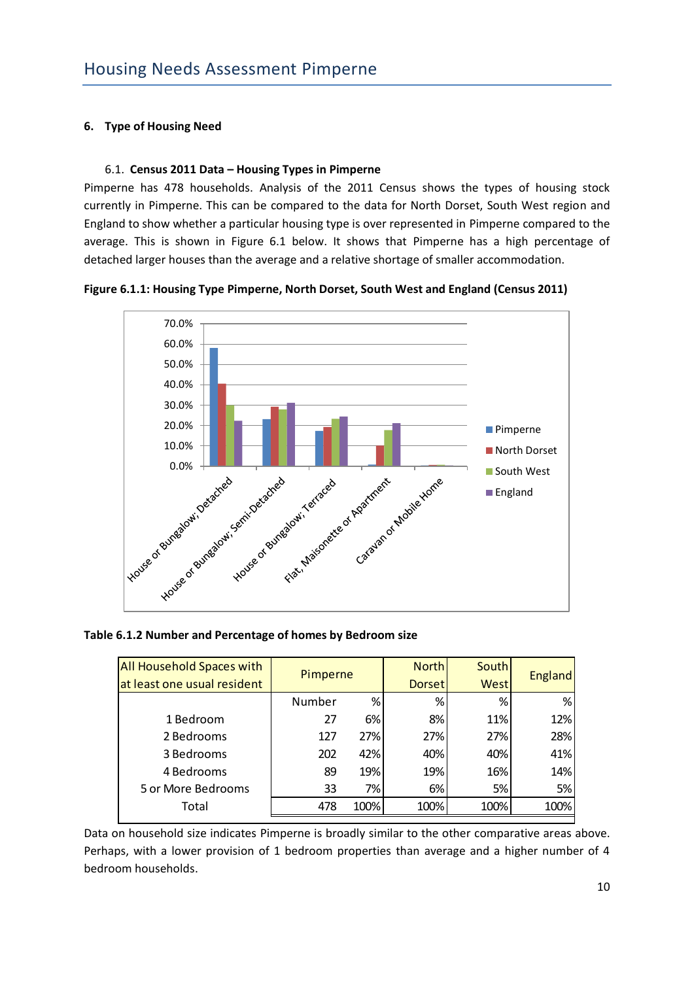# <span id="page-9-0"></span>**6. Type of Housing Need**

### 6.1. **Census 2011 Data – Housing Types in Pimperne**

Pimperne has 478 households. Analysis of the 2011 Census shows the types of housing stock currently in Pimperne. This can be compared to the data for North Dorset, South West region and England to show whether a particular housing type is over represented in Pimperne compared to the average. This is shown in Figure 6.1 below. It shows that Pimperne has a high percentage of detached larger houses than the average and a relative shortage of smaller accommodation.





#### **Table 6.1.2 Number and Percentage of homes by Bedroom size**

| <b>All Household Spaces with</b> | Pimperne |      | <b>North</b>  | <b>South</b> |                |
|----------------------------------|----------|------|---------------|--------------|----------------|
| at least one usual resident      |          |      | <b>Dorset</b> | <b>West</b>  | <b>England</b> |
|                                  | Number   | %    | %             | %            | %              |
| 1 Bedroom                        | 27       | 6%   | 8%            | 11%          | 12%            |
| 2 Bedrooms                       | 127      | 27%  | 27%           | 27%          | 28%            |
| 3 Bedrooms                       | 202      | 42%  | 40%           | 40%          | 41%            |
| 4 Bedrooms                       | 89       | 19%  | 19%           | 16%          | 14%            |
| 5 or More Bedrooms               | 33       | 7%   | 6%            | 5%           | 5%             |
| Total                            | 478      | 100% | 100%          | 100%         | 100%           |

Data on household size indicates Pimperne is broadly similar to the other comparative areas above. Perhaps, with a lower provision of 1 bedroom properties than average and a higher number of 4 bedroom households.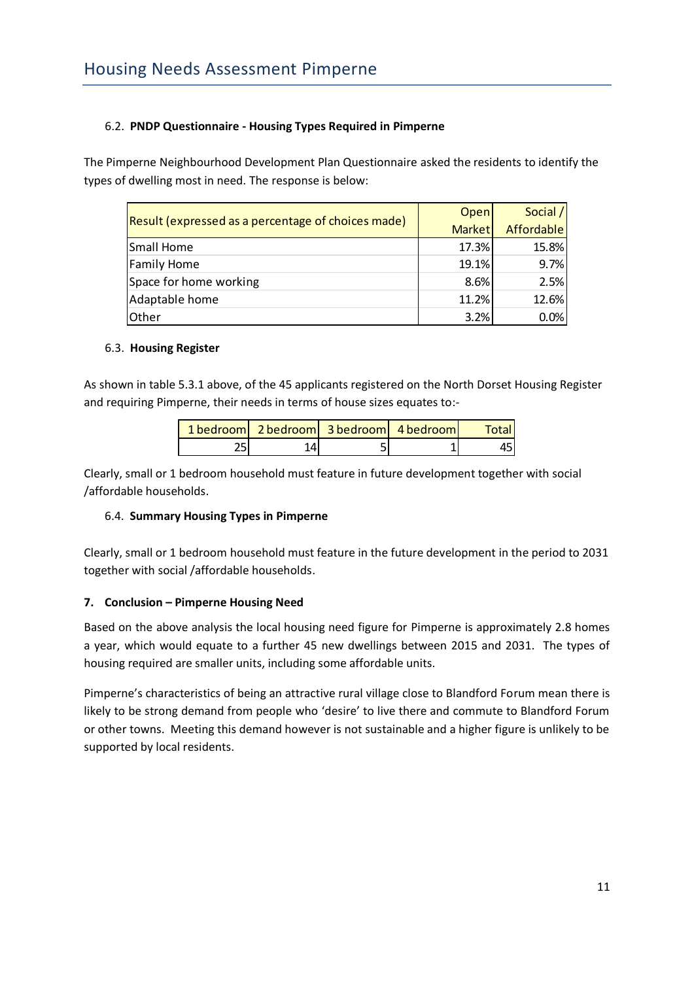# 6.2. **PNDP Questionnaire - Housing Types Required in Pimperne**

The Pimperne Neighbourhood Development Plan Questionnaire asked the residents to identify the types of dwelling most in need. The response is below:

|                                                    | Open          | Social /   |
|----------------------------------------------------|---------------|------------|
| Result (expressed as a percentage of choices made) | <b>Market</b> | Affordable |
| Small Home                                         | 17.3%         | 15.8%      |
| <b>Family Home</b>                                 | 19.1%         | 9.7%       |
| Space for home working                             | 8.6%          | 2.5%       |
| Adaptable home                                     | 11.2%         | 12.6%      |
| Other                                              | 3.2%          | 0.0%       |

#### 6.3. **Housing Register**

As shown in table 5.3.1 above, of the 45 applicants registered on the North Dorset Housing Register and requiring Pimperne, their needs in terms of house sizes equates to:-

| 1 bedroom   2 bedroom   3 bedroom   4 bedroom |  | Total. |
|-----------------------------------------------|--|--------|
|                                               |  |        |

Clearly, small or 1 bedroom household must feature in future development together with social /affordable households.

# 6.4. **Summary Housing Types in Pimperne**

Clearly, small or 1 bedroom household must feature in the future development in the period to 2031 together with social /affordable households.

# <span id="page-10-0"></span>**7. Conclusion – Pimperne Housing Need**

Based on the above analysis the local housing need figure for Pimperne is approximately 2.8 homes a year, which would equate to a further 45 new dwellings between 2015 and 2031. The types of housing required are smaller units, including some affordable units.

Pimperne's characteristics of being an attractive rural village close to Blandford Forum mean there is likely to be strong demand from people who 'desire' to live there and commute to Blandford Forum or other towns. Meeting this demand however is not sustainable and a higher figure is unlikely to be supported by local residents.